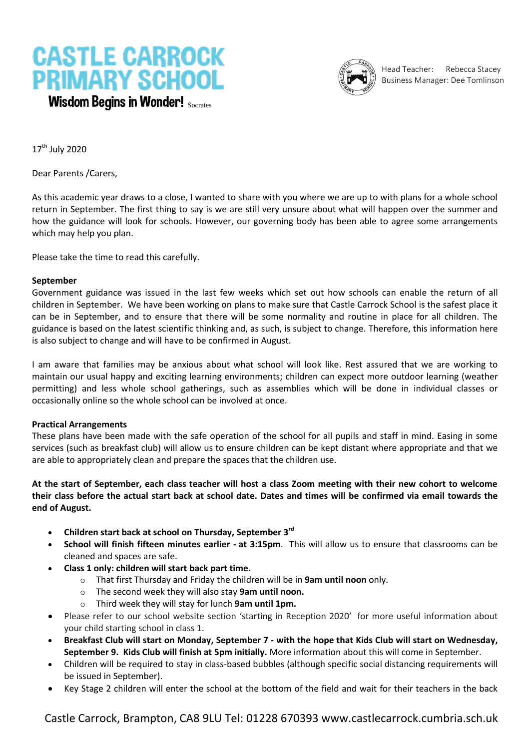# **CASTLE CARROCK PRIMARY SCHOOL** Wisdom Begins in Wonder! Socrates



Head Teacher: Rebecca Stacey Business Manager: Dee Tomlinson

 $17<sup>th</sup>$  July 2020

Dear Parents /Carers,

As this academic year draws to a close, I wanted to share with you where we are up to with plans for a whole school return in September. The first thing to say is we are still very unsure about what will happen over the summer and how the guidance will look for schools. However, our governing body has been able to agree some arrangements which may help you plan.

Please take the time to read this carefully.

# **September**

Government guidance was issued in the last few weeks which set out how schools can enable the return of all children in September. We have been working on plans to make sure that Castle Carrock School is the safest place it can be in September, and to ensure that there will be some normality and routine in place for all children. The guidance is based on the latest scientific thinking and, as such, is subject to change. Therefore, this information here is also subject to change and will have to be confirmed in August.

I am aware that families may be anxious about what school will look like. Rest assured that we are working to maintain our usual happy and exciting learning environments; children can expect more outdoor learning (weather permitting) and less whole school gatherings, such as assemblies which will be done in individual classes or occasionally online so the whole school can be involved at once.

#### **Practical Arrangements**

These plans have been made with the safe operation of the school for all pupils and staff in mind. Easing in some services (such as breakfast club) will allow us to ensure children can be kept distant where appropriate and that we are able to appropriately clean and prepare the spaces that the children use.

**At the start of September, each class teacher will host a class Zoom meeting with their new cohort to welcome their class before the actual start back at school date. Dates and times will be confirmed via email towards the end of August.** 

- **Children start back at school on Thursday, September 3 rd**
- **School will finish fifteen minutes earlier - at 3:15pm**. This will allow us to ensure that classrooms can be cleaned and spaces are safe.
- **Class 1 only: children will start back part time.** 
	- o That first Thursday and Friday the children will be in **9am until noon** only.
	- o The second week they will also stay **9am until noon.**
	- o Third week they will stay for lunch **9am until 1pm.**
- Please refer to our school website section 'starting in Reception 2020' for more useful information about your child starting school in class 1.
- **Breakfast Club will start on Monday, September 7 - with the hope that Kids Club will start on Wednesday, September 9. Kids Club will finish at 5pm initially.** More information about this will come in September.
- Children will be required to stay in class-based bubbles (although specific social distancing requirements will be issued in September).
- Key Stage 2 children will enter the school at the bottom of the field and wait for their teachers in the back

Castle Carrock, Brampton, CA8 9LU Tel: 01228 670393 www.castlecarrock.cumbria.sch.uk